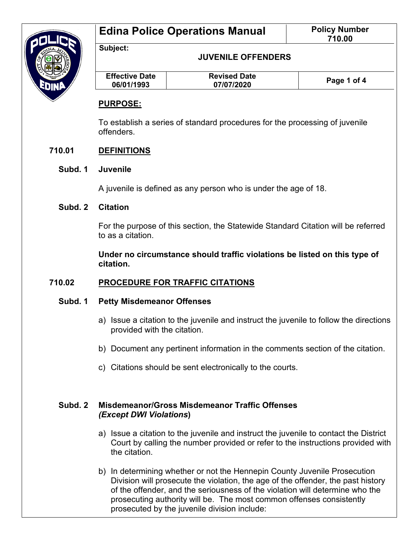

**Edina Police Operations Manual | Policy Number** 

**JUVENILE OFFENDERS**

| <b>Effective Date</b><br>06/01/1993 | <b>Revised Date</b><br>07/07/2020 | Page 1 of 4 |
|-------------------------------------|-----------------------------------|-------------|
|                                     |                                   |             |

## **PURPOSE:**

**Subject:**

To establish a series of standard procedures for the processing of juvenile offenders.

## **710.01 DEFINITIONS**

#### **Subd. 1 Juvenile**

A juvenile is defined as any person who is under the age of 18.

## **Subd. 2 Citation**

For the purpose of this section, the Statewide Standard Citation will be referred to as a citation.

**Under no circumstance should traffic violations be listed on this type of citation.**

## **710.02 PROCEDURE FOR TRAFFIC CITATIONS**

## **Subd. 1 Petty Misdemeanor Offenses**

- a) Issue a citation to the juvenile and instruct the juvenile to follow the directions provided with the citation.
- b) Document any pertinent information in the comments section of the citation.
- c) Citations should be sent electronically to the courts.

## **Subd. 2 Misdemeanor/Gross Misdemeanor Traffic Offenses** *(Except DWI Violations***)**

- a) Issue a citation to the juvenile and instruct the juvenile to contact the District Court by calling the number provided or refer to the instructions provided with the citation.
- b) In determining whether or not the Hennepin County Juvenile Prosecution Division will prosecute the violation, the age of the offender, the past history of the offender, and the seriousness of the violation will determine who the prosecuting authority will be. The most common offenses consistently prosecuted by the juvenile division include: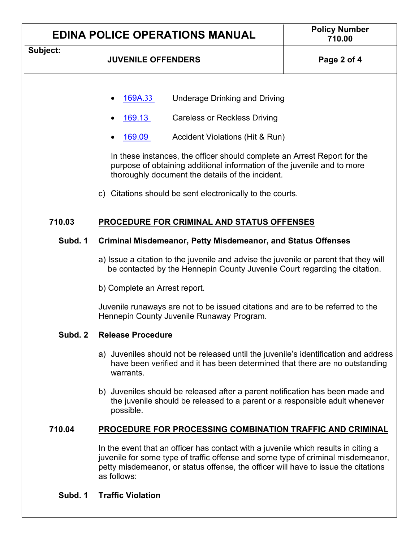| <b>EDINA POLICE OPERATIONS MANUAL</b> |                                                                                                                                                                                                                                                                                                                                                                                                                       | <b>Policy Number</b><br>710.00 |  |
|---------------------------------------|-----------------------------------------------------------------------------------------------------------------------------------------------------------------------------------------------------------------------------------------------------------------------------------------------------------------------------------------------------------------------------------------------------------------------|--------------------------------|--|
| Subject:                              | <b>JUVENILE OFFENDERS</b>                                                                                                                                                                                                                                                                                                                                                                                             | Page 2 of 4                    |  |
|                                       | <b>Underage Drinking and Driving</b><br>169A.33<br>169.13<br><b>Careless or Reckless Driving</b><br>169.09<br>Accident Violations (Hit & Run)<br>In these instances, the officer should complete an Arrest Report for the<br>purpose of obtaining additional information of the juvenile and to more<br>thoroughly document the details of the incident.<br>c) Citations should be sent electronically to the courts. |                                |  |
| 710.03                                | PROCEDURE FOR CRIMINAL AND STATUS OFFENSES                                                                                                                                                                                                                                                                                                                                                                            |                                |  |
| Subd. 1                               | <b>Criminal Misdemeanor, Petty Misdemeanor, and Status Offenses</b>                                                                                                                                                                                                                                                                                                                                                   |                                |  |
|                                       | a) Issue a citation to the juvenile and advise the juvenile or parent that they will<br>be contacted by the Hennepin County Juvenile Court regarding the citation.                                                                                                                                                                                                                                                    |                                |  |
|                                       | b) Complete an Arrest report.                                                                                                                                                                                                                                                                                                                                                                                         |                                |  |
|                                       | Juvenile runaways are not to be issued citations and are to be referred to the<br>Hennepin County Juvenile Runaway Program.                                                                                                                                                                                                                                                                                           |                                |  |
| Subd. 2                               | <b>Release Procedure</b>                                                                                                                                                                                                                                                                                                                                                                                              |                                |  |
|                                       | a) Juveniles should not be released until the juvenile's identification and address<br>have been verified and it has been determined that there are no outstanding<br>warrants.                                                                                                                                                                                                                                       |                                |  |
|                                       | b) Juveniles should be released after a parent notification has been made and<br>the juvenile should be released to a parent or a responsible adult whenever<br>possible.                                                                                                                                                                                                                                             |                                |  |
| 710.04                                | <b>PROCEDURE FOR PROCESSING COMBINATION TRAFFIC AND CRIMINAL</b>                                                                                                                                                                                                                                                                                                                                                      |                                |  |
|                                       | In the event that an officer has contact with a juvenile which results in citing a<br>juvenile for some type of traffic offense and some type of criminal misdemeanor,<br>petty misdemeanor, or status offense, the officer will have to issue the citations<br>as follows:                                                                                                                                           |                                |  |
| Subd. 1                               | <b>Traffic Violation</b>                                                                                                                                                                                                                                                                                                                                                                                              |                                |  |

٦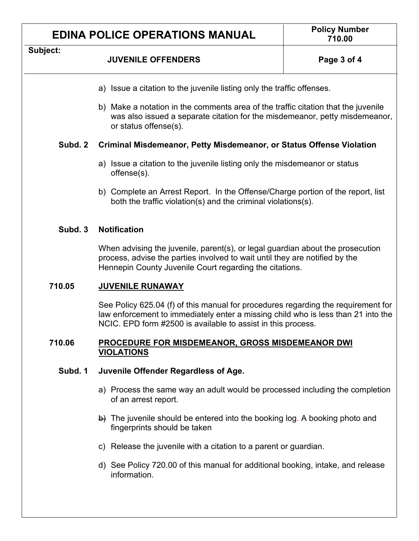## **EDINA POLICE OPERATIONS MANUAL Policy Number**

#### **Subject:**

### **JUVENILE OFFENDERS Page 3 of 4**

- a) Issue a citation to the juvenile listing only the traffic offenses.
- b) Make a notation in the comments area of the traffic citation that the juvenile was also issued a separate citation for the misdemeanor, petty misdemeanor, or status offense(s).

#### **Subd. 2 Criminal Misdemeanor, Petty Misdemeanor, or Status Offense Violation**

- a) Issue a citation to the juvenile listing only the misdemeanor or status offense(s).
- b) Complete an Arrest Report. In the Offense/Charge portion of the report, list both the traffic violation(s) and the criminal violations(s).

#### **Subd. 3 Notification**

When advising the juvenile, parent(s), or legal guardian about the prosecution process, advise the parties involved to wait until they are notified by the Hennepin County Juvenile Court regarding the citations.

#### **710.05 JUVENILE RUNAWAY**

See Policy 625.04 (f) of this manual for procedures regarding the requirement for law enforcement to immediately enter a missing child who is less than 21 into the NCIC. EPD form #2500 is available to assist in this process.

#### **710.06 PROCEDURE FOR MISDEMEANOR, GROSS MISDEMEANOR DWI VIOLATIONS**

#### **Subd. 1 Juvenile Offender Regardless of Age.**

- a) Process the same way an adult would be processed including the completion of an arrest report.
- $\overrightarrow{b}$ ) The juvenile should be entered into the booking log. A booking photo and fingerprints should be taken
- c) Release the juvenile with a citation to a parent or guardian.
- d) See Policy 720.00 of this manual for additional booking, intake, and release information.